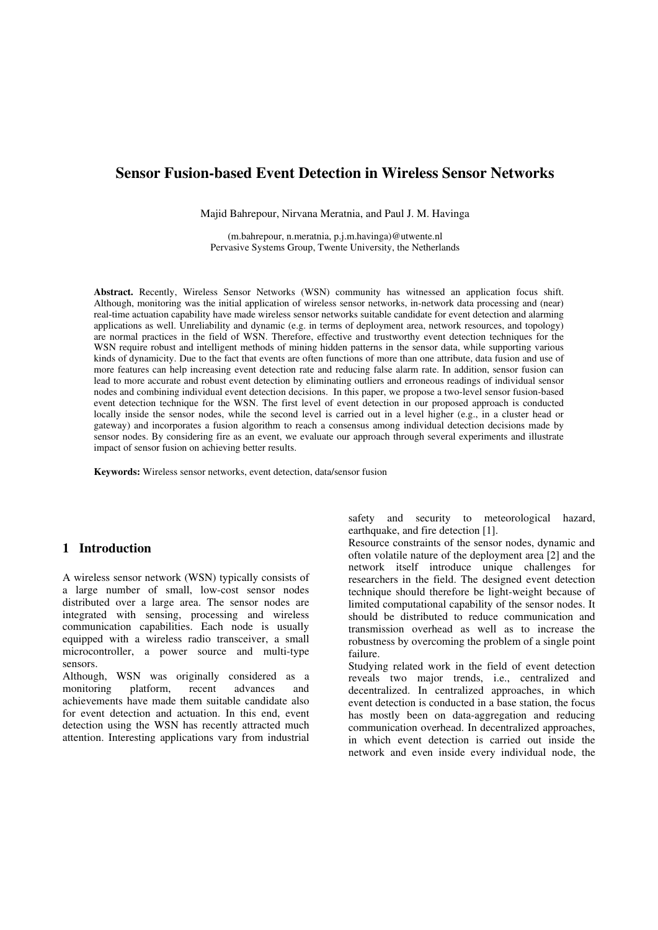# **Sensor Fusion-based Event Detection in Wireless Sensor Networks**

Majid Bahrepour, Nirvana Meratnia, and Paul J. M. Havinga

(m.bahrepour, n.meratnia, p.j.m.havinga)@utwente.nl Pervasive Systems Group, Twente University, the Netherlands

**Abstract.** Recently, Wireless Sensor Networks (WSN) community has witnessed an application focus shift. Although, monitoring was the initial application of wireless sensor networks, in-network data processing and (near) real-time actuation capability have made wireless sensor networks suitable candidate for event detection and alarming applications as well. Unreliability and dynamic (e.g. in terms of deployment area, network resources, and topology) are normal practices in the field of WSN. Therefore, effective and trustworthy event detection techniques for the WSN require robust and intelligent methods of mining hidden patterns in the sensor data, while supporting various kinds of dynamicity. Due to the fact that events are often functions of more than one attribute, data fusion and use of more features can help increasing event detection rate and reducing false alarm rate. In addition, sensor fusion can lead to more accurate and robust event detection by eliminating outliers and erroneous readings of individual sensor nodes and combining individual event detection decisions. In this paper, we propose a two-level sensor fusion-based event detection technique for the WSN. The first level of event detection in our proposed approach is conducted locally inside the sensor nodes, while the second level is carried out in a level higher (e.g., in a cluster head or gateway) and incorporates a fusion algorithm to reach a consensus among individual detection decisions made by sensor nodes. By considering fire as an event, we evaluate our approach through several experiments and illustrate impact of sensor fusion on achieving better results.

**Keywords:** Wireless sensor networks, event detection, data/sensor fusion

## **1 Introduction**

A wireless sensor network (WSN) typically consists of a large number of small, low-cost sensor nodes distributed over a large area. The sensor nodes are integrated with sensing, processing and wireless communication capabilities. Each node is usually equipped with a wireless radio transceiver, a small microcontroller, a power source and multi-type sensors.

Although, WSN was originally considered as a monitoring platform, recent advances and achievements have made them suitable candidate also for event detection and actuation. In this end, event detection using the WSN has recently attracted much attention. Interesting applications vary from industrial

safety and security to meteorological hazard, earthquake, and fire detection [1].

Resource constraints of the sensor nodes, dynamic and often volatile nature of the deployment area [2] and the network itself introduce unique challenges for researchers in the field. The designed event detection technique should therefore be light-weight because of limited computational capability of the sensor nodes. It should be distributed to reduce communication and transmission overhead as well as to increase the robustness by overcoming the problem of a single point failure.

Studying related work in the field of event detection reveals two major trends, i.e., centralized and decentralized. In centralized approaches, in which event detection is conducted in a base station, the focus has mostly been on data-aggregation and reducing communication overhead. In decentralized approaches, in which event detection is carried out inside the network and even inside every individual node, the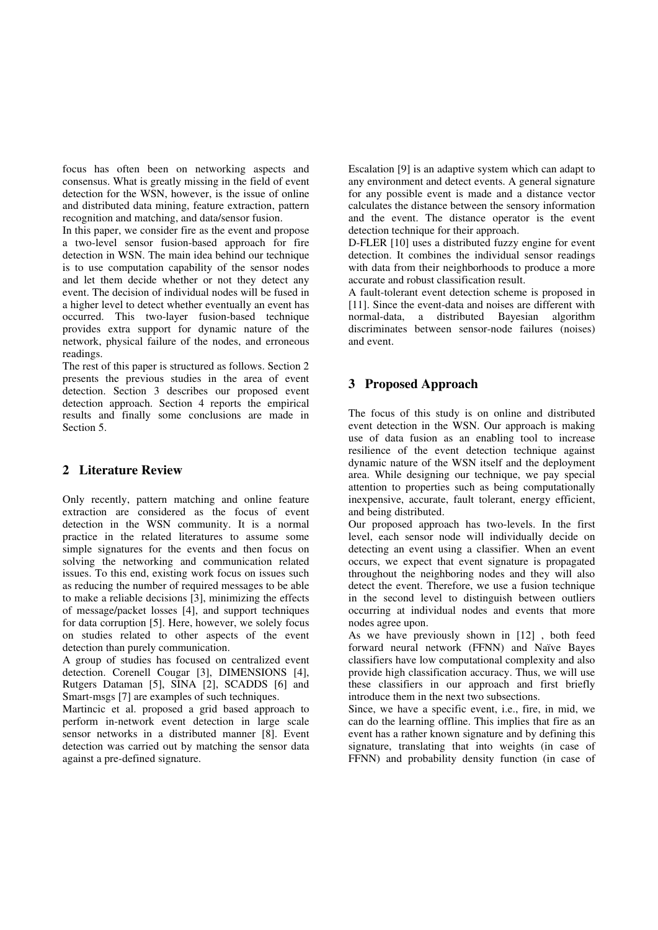focus has often been on networking aspects and consensus. What is greatly missing in the field of event detection for the WSN, however, is the issue of online and distributed data mining, feature extraction, pattern recognition and matching, and data/sensor fusion.

In this paper, we consider fire as the event and propose a two-level sensor fusion-based approach for fire detection in WSN. The main idea behind our technique is to use computation capability of the sensor nodes and let them decide whether or not they detect any event. The decision of individual nodes will be fused in a higher level to detect whether eventually an event has occurred. This two-layer fusion-based technique provides extra support for dynamic nature of the network, physical failure of the nodes, and erroneous readings.

The rest of this paper is structured as follows. Section 2 presents the previous studies in the area of event detection. Section 3 describes our proposed event detection approach. Section 4 reports the empirical results and finally some conclusions are made in Section 5.

## **2 Literature Review**

Only recently, pattern matching and online feature extraction are considered as the focus of event detection in the WSN community. It is a normal practice in the related literatures to assume some simple signatures for the events and then focus on solving the networking and communication related issues. To this end, existing work focus on issues such as reducing the number of required messages to be able to make a reliable decisions [3], minimizing the effects of message/packet losses [4], and support techniques for data corruption [5]. Here, however, we solely focus on studies related to other aspects of the event detection than purely communication.

A group of studies has focused on centralized event detection. Corenell Cougar [3], DIMENSIONS [4], Rutgers Dataman [5], SINA [2], SCADDS [6] and Smart-msgs [7] are examples of such techniques.

Martincic et al. proposed a grid based approach to perform in-network event detection in large scale sensor networks in a distributed manner [8]. Event detection was carried out by matching the sensor data against a pre-defined signature.

Escalation [9] is an adaptive system which can adapt to any environment and detect events. A general signature for any possible event is made and a distance vector calculates the distance between the sensory information and the event. The distance operator is the event detection technique for their approach.

D-FLER [10] uses a distributed fuzzy engine for event detection. It combines the individual sensor readings with data from their neighborhoods to produce a more accurate and robust classification result.

A fault-tolerant event detection scheme is proposed in [11]. Since the event-data and noises are different with normal-data, a distributed Bayesian algorithm discriminates between sensor-node failures (noises) and event.

# **3 Proposed Approach**

The focus of this study is on online and distributed event detection in the WSN. Our approach is making use of data fusion as an enabling tool to increase resilience of the event detection technique against dynamic nature of the WSN itself and the deployment area. While designing our technique, we pay special attention to properties such as being computationally inexpensive, accurate, fault tolerant, energy efficient, and being distributed.

Our proposed approach has two-levels. In the first level, each sensor node will individually decide on detecting an event using a classifier. When an event occurs, we expect that event signature is propagated throughout the neighboring nodes and they will also detect the event. Therefore, we use a fusion technique in the second level to distinguish between outliers occurring at individual nodes and events that more nodes agree upon.

As we have previously shown in [12] , both feed forward neural network (FFNN) and Naïve Bayes classifiers have low computational complexity and also provide high classification accuracy. Thus, we will use these classifiers in our approach and first briefly introduce them in the next two subsections.

Since, we have a specific event, i.e., fire, in mid, we can do the learning offline. This implies that fire as an event has a rather known signature and by defining this signature, translating that into weights (in case of FFNN) and probability density function (in case of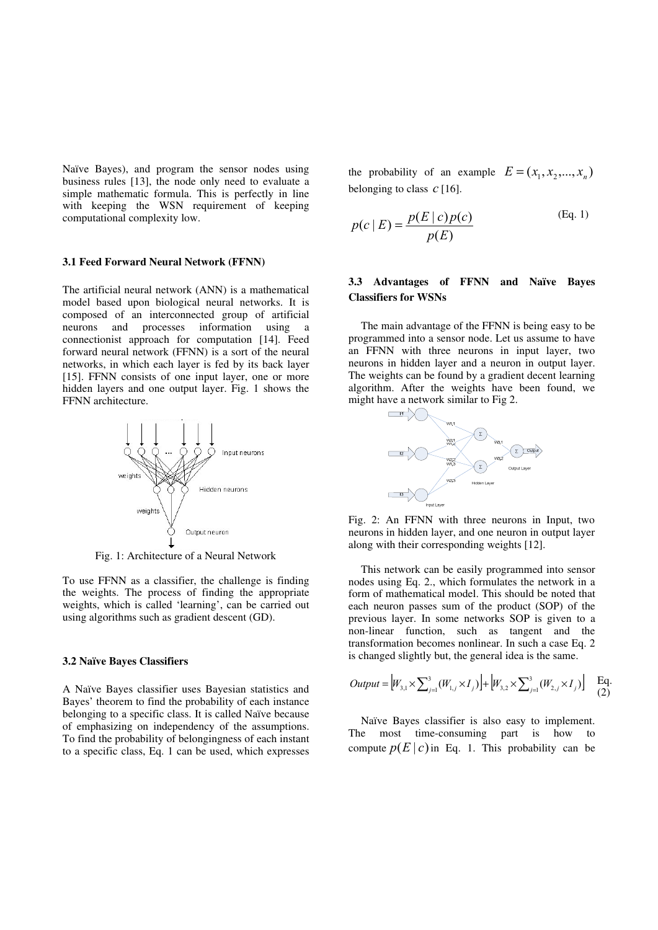Naïve Bayes), and program the sensor nodes using business rules [13], the node only need to evaluate a simple mathematic formula. This is perfectly in line with keeping the WSN requirement of keeping computational complexity low.

#### **3.1 Feed Forward Neural Network (FFNN)**

The artificial neural network (ANN) is a mathematical model based upon biological neural networks. It is composed of an interconnected group of artificial neurons and processes information using a connectionist approach for computation [14]. Feed forward neural network (FFNN) is a sort of the neural networks, in which each layer is fed by its back layer [15]. FFNN consists of one input layer, one or more hidden layers and one output layer. Fig. 1 shows the FFNN architecture.



Fig. 1: Architecture of a Neural Network

To use FFNN as a classifier, the challenge is finding the weights. The process of finding the appropriate weights, which is called 'learning', can be carried out using algorithms such as gradient descent (GD).

## **3.2 Naïve Bayes Classifiers**

A Naïve Bayes classifier uses Bayesian statistics and Bayes' theorem to find the probability of each instance belonging to a specific class. It is called Naïve because of emphasizing on independency of the assumptions. To find the probability of belongingness of each instant to a specific class, Eq. 1 can be used, which expresses

the probability of an example  $E = (x_1, x_2, ..., x_n)$ belonging to class *c* [16].

$$
p(c \mid E) = \frac{p(E \mid c)p(c)}{p(E)}
$$
 (Eq. 1)

## **3.3 Advantages of FFNN and Naïve Bayes Classifiers for WSNs**

The main advantage of the FFNN is being easy to be programmed into a sensor node. Let us assume to have an FFNN with three neurons in input layer, two neurons in hidden layer and a neuron in output layer. The weights can be found by a gradient decent learning algorithm. After the weights have been found, we might have a network similar to Fig 2.



Fig. 2: An FFNN with three neurons in Input, two neurons in hidden layer, and one neuron in output layer along with their corresponding weights [12].

This network can be easily programmed into sensor nodes using Eq. 2., which formulates the network in a form of mathematical model. This should be noted that each neuron passes sum of the product (SOP) of the previous layer. In some networks SOP is given to a non-linear function, such as tangent and the transformation becomes nonlinear. In such a case Eq. 2 is changed slightly but, the general idea is the same.

$$
Output = \Big| W_{3,1} \times \sum_{j=1}^{3} (W_{1,j} \times I_j) \Big| + \Big| W_{3,2} \times \sum_{j=1}^{3} (W_{2,j} \times I_j) \Big| \quad \text{Eq.}
$$

Naïve Bayes classifier is also easy to implement. The most time-consuming part is how to compute  $p(E|c)$  in Eq. 1. This probability can be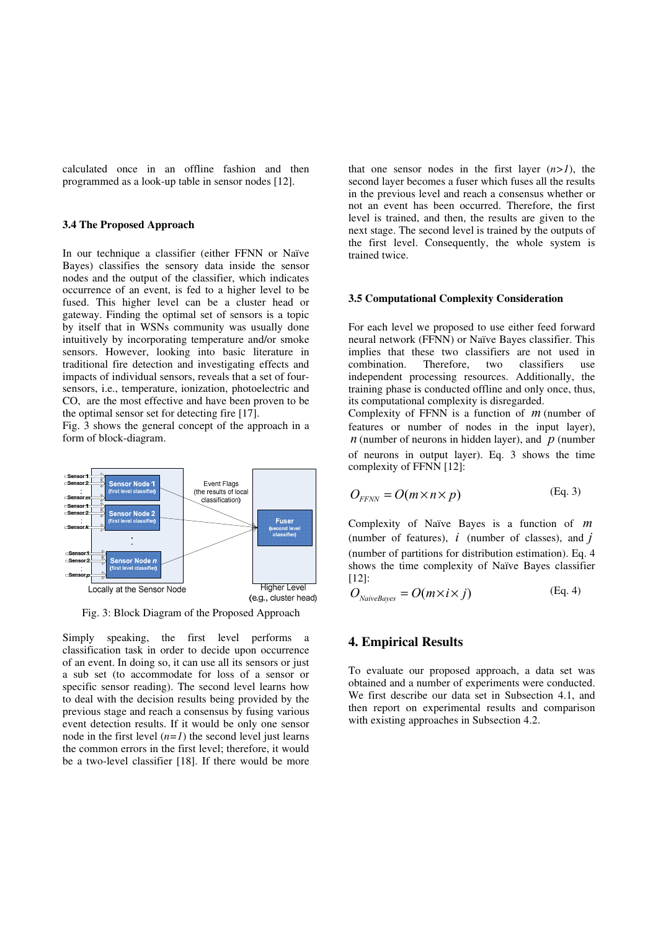calculated once in an offline fashion and then programmed as a look-up table in sensor nodes [12].

## **3.4 The Proposed Approach**

In our technique a classifier (either FFNN or Naïve Bayes) classifies the sensory data inside the sensor nodes and the output of the classifier, which indicates occurrence of an event, is fed to a higher level to be fused. This higher level can be a cluster head or gateway. Finding the optimal set of sensors is a topic by itself that in WSNs community was usually done intuitively by incorporating temperature and/or smoke sensors. However, looking into basic literature in traditional fire detection and investigating effects and impacts of individual sensors, reveals that a set of foursensors, i.e., temperature, ionization, photoelectric and CO, are the most effective and have been proven to be the optimal sensor set for detecting fire [17].

Fig. 3 shows the general concept of the approach in a form of block-diagram.



Fig. 3: Block Diagram of the Proposed Approach

Simply speaking, the first level performs a classification task in order to decide upon occurrence of an event. In doing so, it can use all its sensors or just a sub set (to accommodate for loss of a sensor or specific sensor reading). The second level learns how to deal with the decision results being provided by the previous stage and reach a consensus by fusing various event detection results. If it would be only one sensor node in the first level  $(n=1)$  the second level just learns the common errors in the first level; therefore, it would be a two-level classifier [18]. If there would be more

that one sensor nodes in the first layer  $(n>1)$ , the second layer becomes a fuser which fuses all the results in the previous level and reach a consensus whether or not an event has been occurred. Therefore, the first level is trained, and then, the results are given to the next stage. The second level is trained by the outputs of the first level. Consequently, the whole system is trained twice.

## **3.5 Computational Complexity Consideration**

For each level we proposed to use either feed forward neural network (FFNN) or Naïve Bayes classifier. This implies that these two classifiers are not used in combination. Therefore, two classifiers use combination. Therefore, two classifiers use independent processing resources. Additionally, the training phase is conducted offline and only once, thus, its computational complexity is disregarded.

Complexity of FFNN is a function of *m* (number of features or number of nodes in the input layer),  $n$  (number of neurons in hidden layer), and  $p$  (number of neurons in output layer). Eq. 3 shows the time complexity of FFNN [12]:

$$
O_{FFNN} = O(m \times n \times p) \tag{Eq. 3}
$$

Complexity of Naïve Bayes is a function of *m* (number of features), *i* (number of classes), and *j* (number of partitions for distribution estimation). Eq. 4 shows the time complexity of Naïve Bayes classifier [12]:

$$
O_{\text{NaiveBayes}} = O(m \times i \times j) \tag{Eq. 4}
$$

## **4. Empirical Results**

To evaluate our proposed approach, a data set was obtained and a number of experiments were conducted. We first describe our data set in Subsection 4.1, and then report on experimental results and comparison with existing approaches in Subsection 4.2.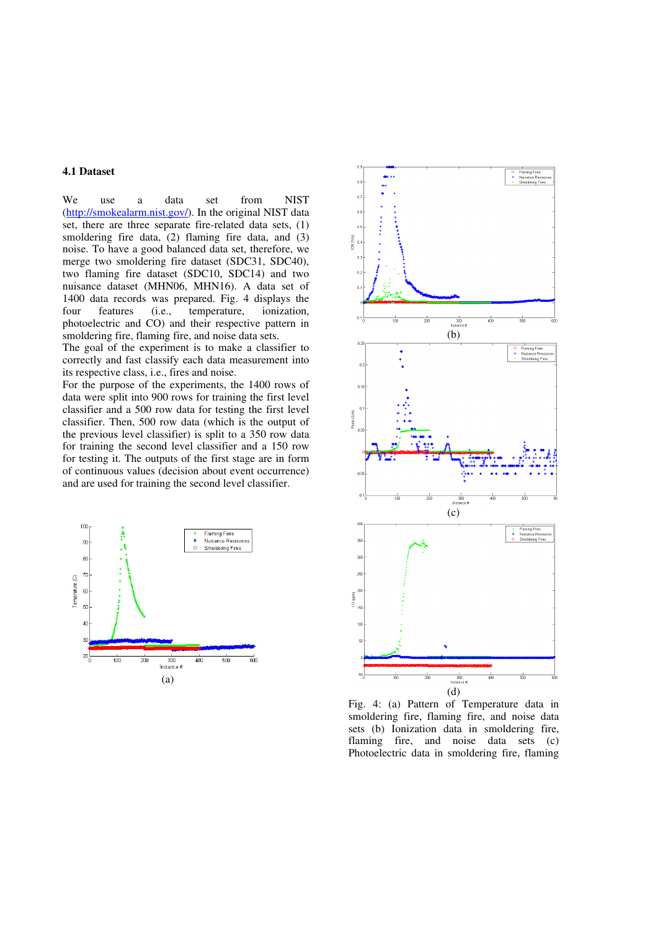## **4.1 Dataset**

We use a data set from NIST (http://smokealarm.nist.gov/). In the original NIST data set, there are three separate fire-related data sets, (1) smoldering fire data, (2) flaming fire data, and (3) noise. To have a good balanced data set, therefore, we merge two smoldering fire dataset (SDC31, SDC40), two flaming fire dataset (SDC10, SDC14) and two nuisance dataset (MHN06, MHN16). A data set of 1400 data records was prepared. Fig. 4 displays the four features (i.e., temperature, ionization, four features (i.e., temperature, ionization, photoelectric and CO) and their respective pattern in smoldering fire, flaming fire, and noise data sets.

The goal of the experiment is to make a classifier to correctly and fast classify each data measurement into its respective class, i.e., fires and noise.

For the purpose of the experiments, the 1400 rows of data were split into 900 rows for training the first level classifier and a 500 row data for testing the first level classifier. Then, 500 row data (which is the output of the previous level classifier) is split to a 350 row data for training the second level classifier and a 150 row for testing it. The outputs of the first stage are in form of continuous values (decision about event occurrence) and are used for training the second level classifier.





Fig. 4: (a) Pattern of Temperature data in smoldering fire, flaming fire, and noise data sets (b) Ionization data in smoldering fire, flaming fire, and noise data sets (c) Photoelectric data in smoldering fire, flaming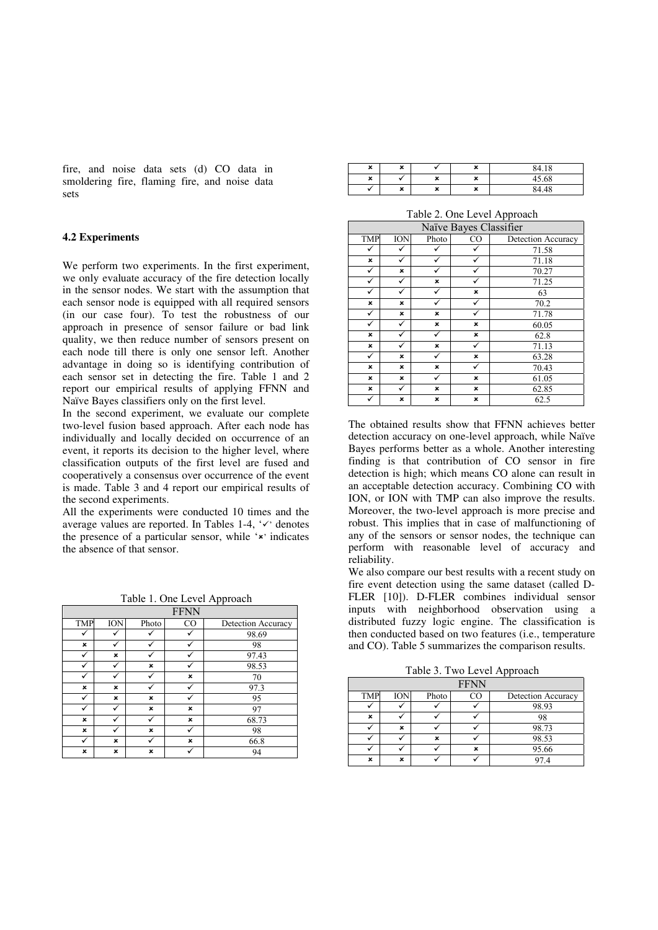fire, and noise data sets (d) CO data in smoldering fire, flaming fire, and noise data sets

### **4.2 Experiments**

We perform two experiments. In the first experiment, we only evaluate accuracy of the fire detection locally in the sensor nodes. We start with the assumption that each sensor node is equipped with all required sensors (in our case four). To test the robustness of our approach in presence of sensor failure or bad link quality, we then reduce number of sensors present on each node till there is only one sensor left. Another advantage in doing so is identifying contribution of each sensor set in detecting the fire. Table 1 and 2 report our empirical results of applying FFNN and Naïve Bayes classifiers only on the first level.

In the second experiment, we evaluate our complete two-level fusion based approach. After each node has individually and locally decided on occurrence of an event, it reports its decision to the higher level, where classification outputs of the first level are fused and cooperatively a consensus over occurrence of the event is made. Table 3 and 4 report our empirical results of the second experiments.

All the experiments were conducted 10 times and the average values are reported. In Tables 1-4,  $\checkmark$  denotes the presence of a particular sensor, while  $x$  indicates the absence of that sensor.

Table 1. One Level Approach

|            |            |       | <b>FFNN</b>    |                    |
|------------|------------|-------|----------------|--------------------|
| <b>TMP</b> | <b>ION</b> | Photo | CO <sub></sub> | Detection Accuracy |
|            |            |       |                | 98.69              |
| ×          |            |       |                | 98                 |
| ✓          | ×          | ✓     |                | 97.43              |
|            |            | ×     |                | 98.53              |
|            |            |       | ×              | 70                 |
| ×          | ×          |       |                | 97.3               |
|            | ×          | ×     |                | 95                 |
|            |            | ×     | ×              | 97                 |
| ×          |            |       | ×              | 68.73              |
| ×          |            | ×     |                | 98                 |
|            | ×          |       | ×              | 66.8               |
| ×          | ×          | ×     |                | 94                 |

| × | <br>∼                     |        | $\bullet$<br>∽ | 84.18 |
|---|---------------------------|--------|----------------|-------|
| × |                           | u<br>灬 | $\bullet$<br>灬 | 45.68 |
|   | $\ddot{\phantom{0}}$<br>∽ | u<br>┻ | $\bullet$<br>↗ | 48    |

Table 2. One Level Approach

|            | Naïve Bayes Classifier |       |    |                    |  |
|------------|------------------------|-------|----|--------------------|--|
| <b>TMP</b> | <b>ION</b>             | Photo | CO | Detection Accuracy |  |
|            |                        |       | ✓  | 71.58              |  |
| ×          |                        |       |    | 71.18              |  |
| ✓          | ×                      |       |    | 70.27              |  |
| ✓          |                        | ×     |    | 71.25              |  |
|            |                        | ✓     | ×  | 63                 |  |
| ×          | ×                      |       | ✓  | 70.2               |  |
|            | ×                      | ×     |    | 71.78              |  |
| ✓          |                        | ×     | ×  | 60.05              |  |
| ×          |                        | ✓     | ×  | 62.8               |  |
| ×          |                        | ×     | ✓  | 71.13              |  |
| ✓          | ×                      | ✓     | ×  | 63.28              |  |
| ×          | ×                      | ×     | ✓  | 70.43              |  |
| ×          | ×                      |       | ×  | 61.05              |  |
| ×          | ✓                      | ×     | ×  | 62.85              |  |
|            | ×                      | ×     | ×  | 62.5               |  |

The obtained results show that FFNN achieves better detection accuracy on one-level approach, while Naïve Bayes performs better as a whole. Another interesting finding is that contribution of CO sensor in fire detection is high; which means CO alone can result in an acceptable detection accuracy. Combining CO with ION, or ION with TMP can also improve the results. Moreover, the two-level approach is more precise and robust. This implies that in case of malfunctioning of any of the sensors or sensor nodes, the technique can perform with reasonable level of accuracy and reliability.

We also compare our best results with a recent study on fire event detection using the same dataset (called D-FLER [10]). D-FLER combines individual sensor inputs with neighborhood observation using a distributed fuzzy logic engine. The classification is then conducted based on two features (i.e., temperature and CO). Table 5 summarizes the comparison results.

Table 3. Two Level Approach

| <b>FFNN</b> |            |       |    |                    |
|-------------|------------|-------|----|--------------------|
| <b>TMP</b>  | <b>ION</b> | Photo | ി∩ | Detection Accuracy |
|             |            |       |    | 98.93              |
| ×           |            |       |    | 98                 |
|             | ×          |       |    | 98.73              |
|             |            | ×     |    | 98.53              |
|             |            |       | ×  | 95.66              |
| ×           | ×          |       |    | 97 4               |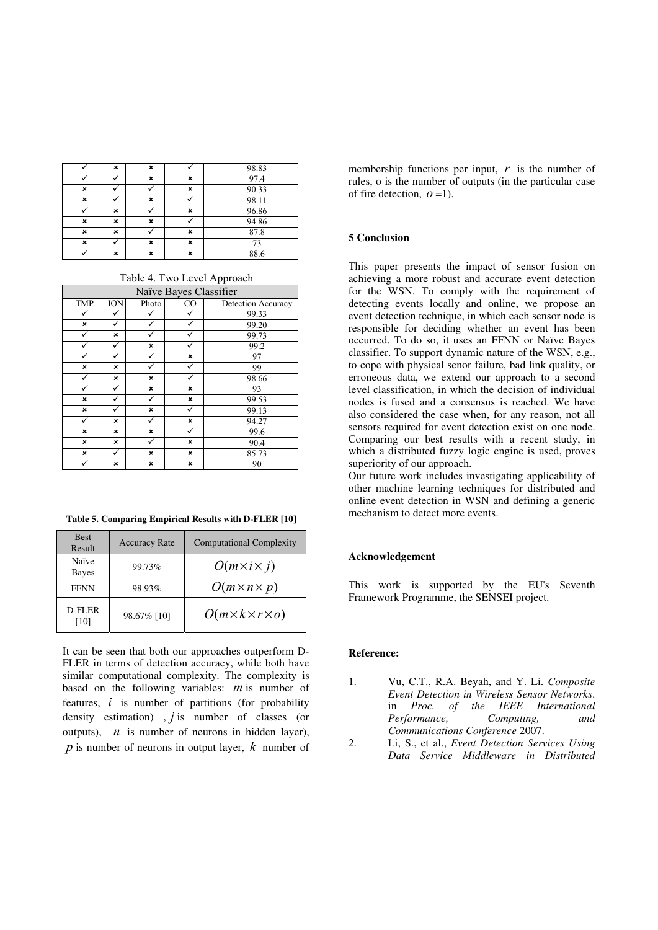|   | × | × |   | 98.83 |
|---|---|---|---|-------|
|   |   | × | × | 97.4  |
| × |   |   | × | 90.33 |
| × |   | × |   | 98.11 |
|   | × |   | × | 96.86 |
| × | × | × |   | 94.86 |
| × | × |   | × | 87.8  |
| × |   | × | × |       |
|   | × | × | × | 88.6  |

Table 4. Two Level Approach

|              | Naïve Bayes Classifier    |              |                |                    |  |
|--------------|---------------------------|--------------|----------------|--------------------|--|
| <b>TMP</b>   | <b>ION</b>                | Photo        | CO <sub></sub> | Detection Accuracy |  |
|              |                           |              |                | 99.33              |  |
| ×            |                           |              |                | 99.20              |  |
| ✓            | $\boldsymbol{\mathsf{x}}$ |              |                | 99.73              |  |
| ✓            | ✓                         | ×            |                | 99.2               |  |
| ✓            |                           |              | ×              | 97                 |  |
| ×            | ×                         | $\checkmark$ |                | 99                 |  |
| ✓            | ×                         | ×            |                | 98.66              |  |
| ✓            | ✓                         | ×            | ×              | 93                 |  |
| ×            | ✓                         | ✓            | ×              | 99.53              |  |
| ×            | ✓                         | ×            | ✓              | 99.13              |  |
| $\checkmark$ | ×                         | ✓            | ×              | 94.27              |  |
| ×            | ×                         | ×            | ✓              | 99.6               |  |
| ×            | ×                         | ✓            | ×              | 90.4               |  |
| ×            | ✓                         | ×            | ×              | 85.73              |  |
| ✓            | ×                         | ×            | ×              | 90                 |  |

**Table 5. Comparing Empirical Results with D-FLER [10]** 

| <b>Best</b><br>Result | <b>Accuracy Rate</b> | <b>Computational Complexity</b>   |
|-----------------------|----------------------|-----------------------------------|
| Naïve<br>Bayes        | 99.73%               | $O(m\times i\times j)$            |
| <b>FFNN</b>           | 98.93%               | $O(m \times n \times p)$          |
| D-FLER<br>[10]        | 98.67% [10]          | $O(m \times k \times r \times o)$ |

It can be seen that both our approaches outperform D-FLER in terms of detection accuracy, while both have similar computational complexity. The complexity is based on the following variables: *m* is number of features, *i* is number of partitions (for probability density estimation) , *j* is number of classes (or outputs),  *is number of neurons in hidden layer), p* is number of neurons in output layer, *k* number of

membership functions per input,  $r$  is the number of rules, o is the number of outputs (in the particular case of fire detection,  $\rho = 1$ ).

#### **5 Conclusion**

This paper presents the impact of sensor fusion on achieving a more robust and accurate event detection for the WSN. To comply with the requirement of detecting events locally and online, we propose an event detection technique, in which each sensor node is responsible for deciding whether an event has been occurred. To do so, it uses an FFNN or Naïve Bayes classifier. To support dynamic nature of the WSN, e.g., to cope with physical senor failure, bad link quality, or erroneous data, we extend our approach to a second level classification, in which the decision of individual nodes is fused and a consensus is reached. We have also considered the case when, for any reason, not all sensors required for event detection exist on one node. Comparing our best results with a recent study, in which a distributed fuzzy logic engine is used, proves superiority of our approach.

Our future work includes investigating applicability of other machine learning techniques for distributed and online event detection in WSN and defining a generic mechanism to detect more events.

### **Acknowledgement**

This work is supported by the EU's Seventh Framework Programme, the SENSEI project.

#### **Reference:**

- 1. Vu, C.T., R.A. Beyah, and Y. Li. *Composite Event Detection in Wireless Sensor Networks*. in *Proc. of the IEEE International Performance, Computing, and Communications Conference* 2007.
- 2. Li, S., et al., *Event Detection Services Using Data Service Middleware in Distributed*